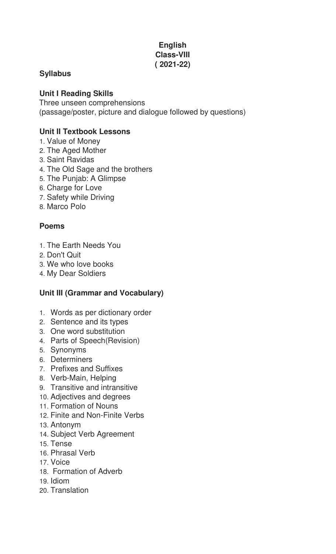## **English Class-VIII ( 2021-22)**

# **Syllabus**

### **Unit I Reading Skills**

Three unseen comprehensions (passage/poster, picture and dialogue followed by questions)

### **Unit II Textbook Lessons**

- 1. Value of Money
- 2. The Aged Mother
- 3. Saint Ravidas
- 4. The Old Sage and the brothers
- 5. The Punjab: A Glimpse
- 6. Charge for Love
- 7. Safety while Driving
- 8. Marco Polo

### **Poems**

- 1. The Earth Needs You
- 2. Don't Quit
- 3. We who love books
- 4. My Dear Soldiers

# **Unit III (Grammar and Vocabulary)**

- 1. Words as per dictionary order
- 2. Sentence and its types
- 3. One word substitution
- 4. Parts of Speech(Revision)
- 5. Synonyms
- 6. Determiners
- 7. Prefixes and Suffixes
- 8. Verb-Main, Helping
- 9. Transitive and intransitive
- 10. Adjectives and degrees
- 11. Formation of Nouns
- 12. Finite and Non-Finite Verbs
- 13. Antonym
- 14. Subject Verb Agreement
- 15. Tense
- 16. Phrasal Verb
- 17. Voice
- 18. Formation of Adverb
- 19. Idiom
- 20. Translation